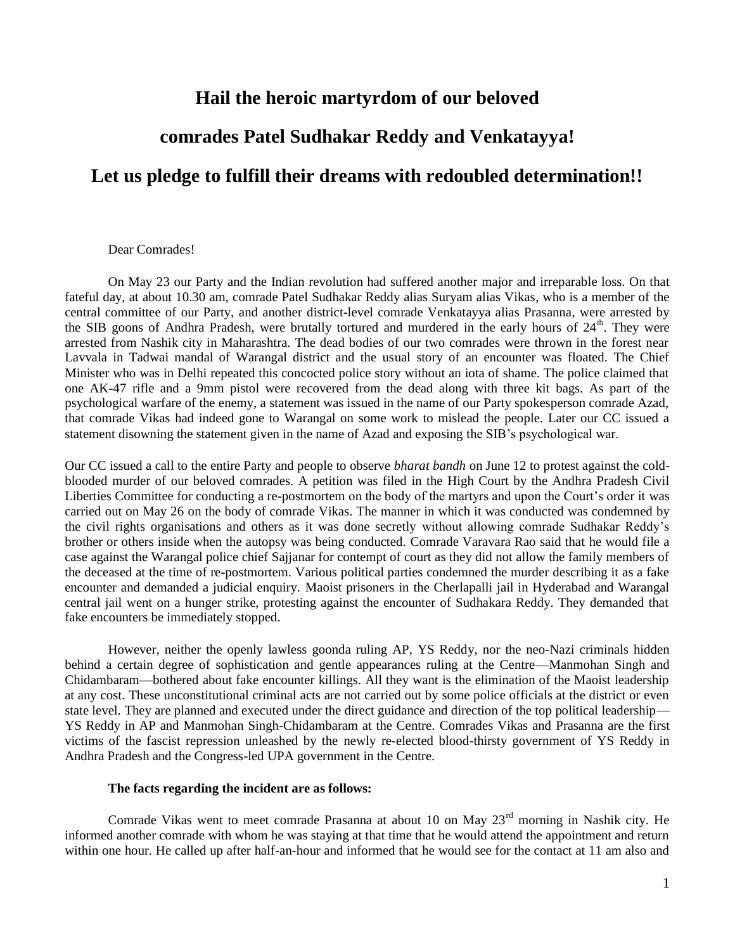## **Hail the heroic martyrdom of our beloved**

# **comrades Patel Sudhakar Reddy and Venkatayya!**

# **Let us pledge to fulfill their dreams with redoubled determination!!**

#### Dear Comrades!

On May 23 our Party and the Indian revolution had suffered another major and irreparable loss. On that fateful day, at about 10.30 am, comrade Patel Sudhakar Reddy alias Suryam alias Vikas, who is a member of the central committee of our Party, and another district-level comrade Venkatayya alias Prasanna, were arrested by the SIB goons of Andhra Pradesh, were brutally tortured and murdered in the early hours of  $24<sup>th</sup>$ . They were arrested from Nashik city in Maharashtra. The dead bodies of our two comrades were thrown in the forest near Lavvala in Tadwai mandal of Warangal district and the usual story of an encounter was floated. The Chief Minister who was in Delhi repeated this concocted police story without an iota of shame. The police claimed that one AK-47 rifle and a 9mm pistol were recovered from the dead along with three kit bags. As part of the psychological warfare of the enemy, a statement was issued in the name of our Party spokesperson comrade Azad, that comrade Vikas had indeed gone to Warangal on some work to mislead the people. Later our CC issued a statement disowning the statement given in the name of Azad and exposing the SIB's psychological war.

Our CC issued a call to the entire Party and people to observe *bharat bandh* on June 12 to protest against the coldblooded murder of our beloved comrades. A petition was filed in the High Court by the Andhra Pradesh Civil Liberties Committee for conducting a re-postmortem on the body of the martyrs and upon the Court's order it was carried out on May 26 on the body of comrade Vikas. The manner in which it was conducted was condemned by the civil rights organisations and others as it was done secretly without allowing comrade Sudhakar Reddy's brother or others inside when the autopsy was being conducted. Comrade Varavara Rao said that he would file a case against the Warangal police chief Sajjanar for contempt of court as they did not allow the family members of the deceased at the time of re-postmortem. Various political parties condemned the murder describing it as a fake encounter and demanded a judicial enquiry. Maoist prisoners in the Cherlapalli jail in Hyderabad and Warangal central jail went on a hunger strike, protesting against the encounter of Sudhakara Reddy. They demanded that fake encounters be immediately stopped.

However, neither the openly lawless goonda ruling AP, YS Reddy, nor the neo-Nazi criminals hidden behind a certain degree of sophistication and gentle appearances ruling at the Centre—Manmohan Singh and Chidambaram—bothered about fake encounter killings. All they want is the elimination of the Maoist leadership at any cost. These unconstitutional criminal acts are not carried out by some police officials at the district or even state level. They are planned and executed under the direct guidance and direction of the top political leadership— YS Reddy in AP and Manmohan Singh-Chidambaram at the Centre. Comrades Vikas and Prasanna are the first victims of the fascist repression unleashed by the newly re-elected blood-thirsty government of YS Reddy in Andhra Pradesh and the Congress-led UPA government in the Centre.

### **The facts regarding the incident are as follows:**

Comrade Vikas went to meet comrade Prasanna at about 10 on May  $23<sup>rd</sup>$  morning in Nashik city. He informed another comrade with whom he was staying at that time that he would attend the appointment and return within one hour. He called up after half-an-hour and informed that he would see for the contact at 11 am also and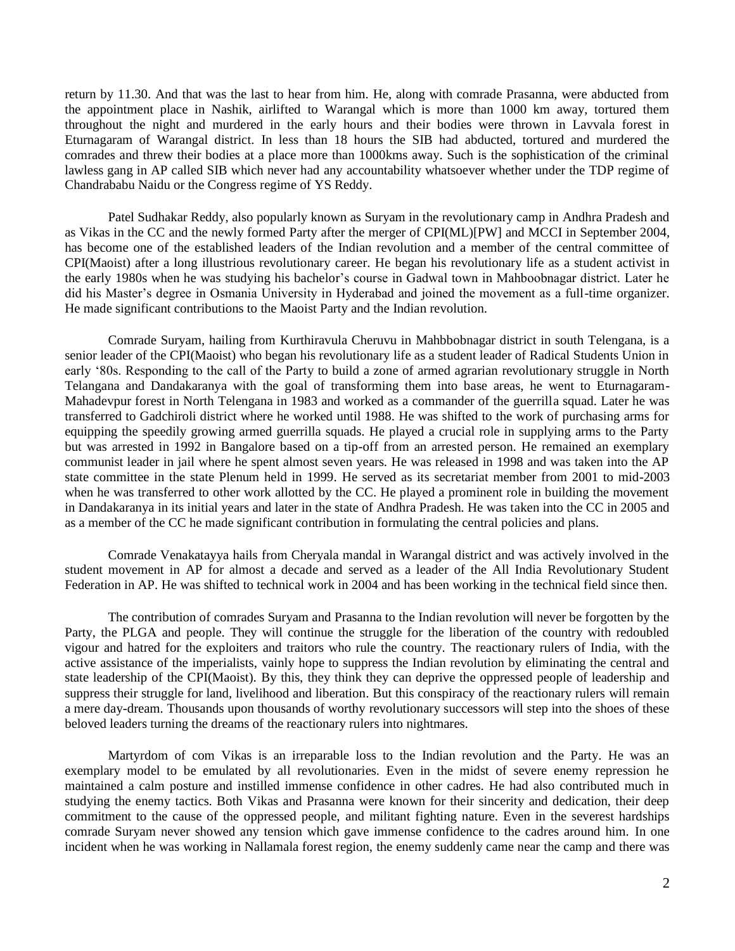return by 11.30. And that was the last to hear from him. He, along with comrade Prasanna, were abducted from the appointment place in Nashik, airlifted to Warangal which is more than 1000 km away, tortured them throughout the night and murdered in the early hours and their bodies were thrown in Lavvala forest in Eturnagaram of Warangal district. In less than 18 hours the SIB had abducted, tortured and murdered the comrades and threw their bodies at a place more than 1000kms away. Such is the sophistication of the criminal lawless gang in AP called SIB which never had any accountability whatsoever whether under the TDP regime of Chandrababu Naidu or the Congress regime of YS Reddy.

Patel Sudhakar Reddy, also popularly known as Suryam in the revolutionary camp in Andhra Pradesh and as Vikas in the CC and the newly formed Party after the merger of CPI(ML)[PW] and MCCI in September 2004, has become one of the established leaders of the Indian revolution and a member of the central committee of CPI(Maoist) after a long illustrious revolutionary career. He began his revolutionary life as a student activist in the early 1980s when he was studying his bachelor's course in Gadwal town in Mahboobnagar district. Later he did his Master's degree in Osmania University in Hyderabad and joined the movement as a full-time organizer. He made significant contributions to the Maoist Party and the Indian revolution.

Comrade Suryam, hailing from Kurthiravula Cheruvu in Mahbbobnagar district in south Telengana, is a senior leader of the CPI(Maoist) who began his revolutionary life as a student leader of Radical Students Union in early '80s. Responding to the call of the Party to build a zone of armed agrarian revolutionary struggle in North Telangana and Dandakaranya with the goal of transforming them into base areas, he went to Eturnagaram-Mahadevpur forest in North Telengana in 1983 and worked as a commander of the guerrilla squad. Later he was transferred to Gadchiroli district where he worked until 1988. He was shifted to the work of purchasing arms for equipping the speedily growing armed guerrilla squads. He played a crucial role in supplying arms to the Party but was arrested in 1992 in Bangalore based on a tip-off from an arrested person. He remained an exemplary communist leader in jail where he spent almost seven years. He was released in 1998 and was taken into the AP state committee in the state Plenum held in 1999. He served as its secretariat member from 2001 to mid-2003 when he was transferred to other work allotted by the CC. He played a prominent role in building the movement in Dandakaranya in its initial years and later in the state of Andhra Pradesh. He was taken into the CC in 2005 and as a member of the CC he made significant contribution in formulating the central policies and plans.

Comrade Venakatayya hails from Cheryala mandal in Warangal district and was actively involved in the student movement in AP for almost a decade and served as a leader of the All India Revolutionary Student Federation in AP. He was shifted to technical work in 2004 and has been working in the technical field since then.

The contribution of comrades Suryam and Prasanna to the Indian revolution will never be forgotten by the Party, the PLGA and people. They will continue the struggle for the liberation of the country with redoubled vigour and hatred for the exploiters and traitors who rule the country. The reactionary rulers of India, with the active assistance of the imperialists, vainly hope to suppress the Indian revolution by eliminating the central and state leadership of the CPI(Maoist). By this, they think they can deprive the oppressed people of leadership and suppress their struggle for land, livelihood and liberation. But this conspiracy of the reactionary rulers will remain a mere day-dream. Thousands upon thousands of worthy revolutionary successors will step into the shoes of these beloved leaders turning the dreams of the reactionary rulers into nightmares.

Martyrdom of com Vikas is an irreparable loss to the Indian revolution and the Party. He was an exemplary model to be emulated by all revolutionaries. Even in the midst of severe enemy repression he maintained a calm posture and instilled immense confidence in other cadres. He had also contributed much in studying the enemy tactics. Both Vikas and Prasanna were known for their sincerity and dedication, their deep commitment to the cause of the oppressed people, and militant fighting nature. Even in the severest hardships comrade Suryam never showed any tension which gave immense confidence to the cadres around him. In one incident when he was working in Nallamala forest region, the enemy suddenly came near the camp and there was